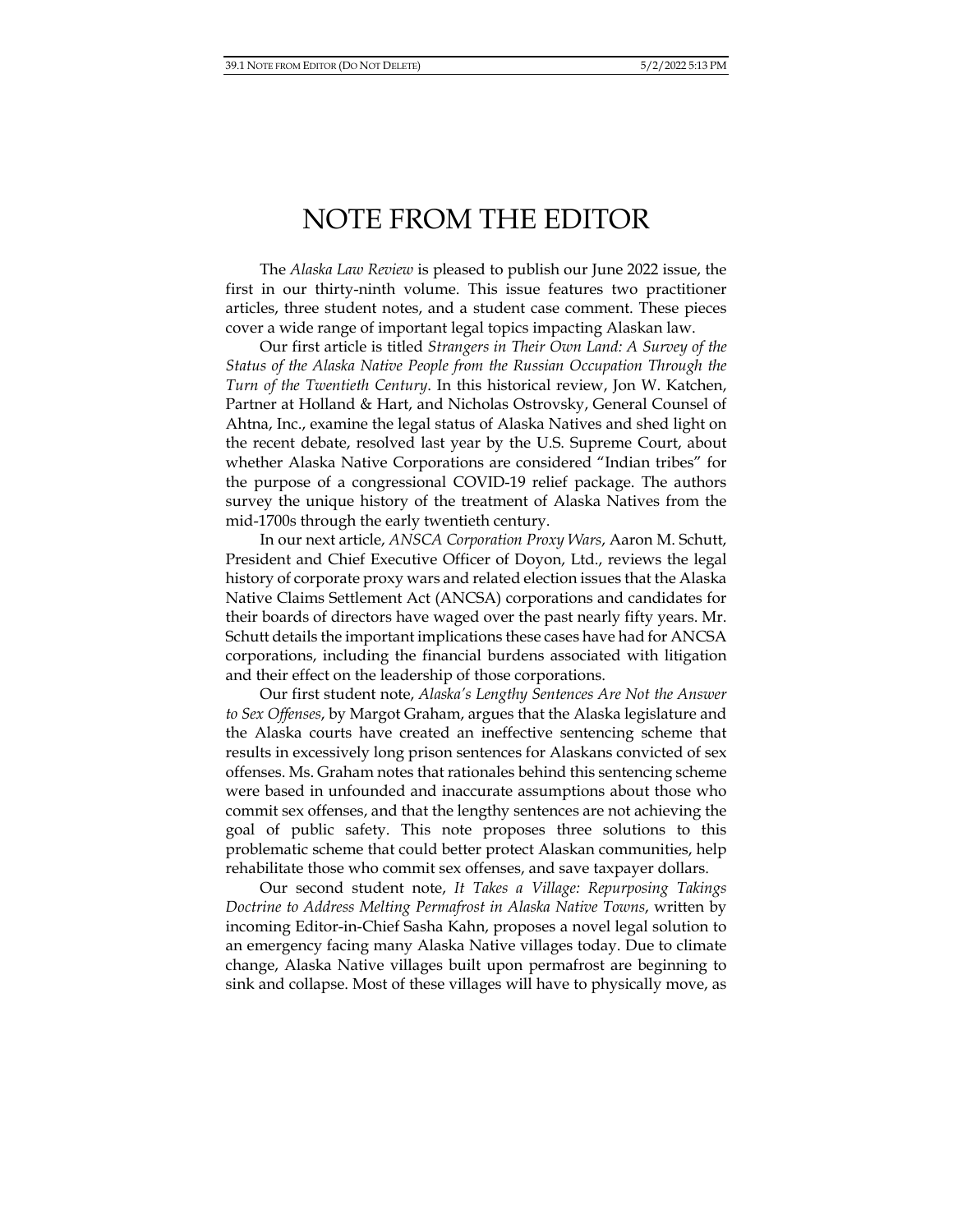## NOTE FROM THE EDITOR

The *Alaska Law Review* is pleased to publish our June 2022 issue, the first in our thirty-ninth volume. This issue features two practitioner articles, three student notes, and a student case comment. These pieces cover a wide range of important legal topics impacting Alaskan law.

Our first article is titled *Strangers in Their Own Land: A Survey of the Status of the Alaska Native People from the Russian Occupation Through the Turn of the Twentieth Century*. In this historical review, Jon W. Katchen, Partner at Holland & Hart, and Nicholas Ostrovsky, General Counsel of Ahtna, Inc., examine the legal status of Alaska Natives and shed light on the recent debate, resolved last year by the U.S. Supreme Court, about whether Alaska Native Corporations are considered "Indian tribes" for the purpose of a congressional COVID-19 relief package. The authors survey the unique history of the treatment of Alaska Natives from the mid-1700s through the early twentieth century.

In our next article, *ANSCA Corporation Proxy Wars*, Aaron M. Schutt, President and Chief Executive Officer of Doyon, Ltd., reviews the legal history of corporate proxy wars and related election issues that the Alaska Native Claims Settlement Act (ANCSA) corporations and candidates for their boards of directors have waged over the past nearly fifty years. Mr. Schutt details the important implications these cases have had for ANCSA corporations, including the financial burdens associated with litigation and their effect on the leadership of those corporations.

Our first student note, *Alaska's Lengthy Sentences Are Not the Answer to Sex Offenses*, by Margot Graham, argues that the Alaska legislature and the Alaska courts have created an ineffective sentencing scheme that results in excessively long prison sentences for Alaskans convicted of sex offenses. Ms. Graham notes that rationales behind this sentencing scheme were based in unfounded and inaccurate assumptions about those who commit sex offenses, and that the lengthy sentences are not achieving the goal of public safety. This note proposes three solutions to this problematic scheme that could better protect Alaskan communities, help rehabilitate those who commit sex offenses, and save taxpayer dollars.

Our second student note, *It Takes a Village: Repurposing Takings Doctrine to Address Melting Permafrost in Alaska Native Towns*, written by incoming Editor-in-Chief Sasha Kahn, proposes a novel legal solution to an emergency facing many Alaska Native villages today. Due to climate change, Alaska Native villages built upon permafrost are beginning to sink and collapse. Most of these villages will have to physically move, as